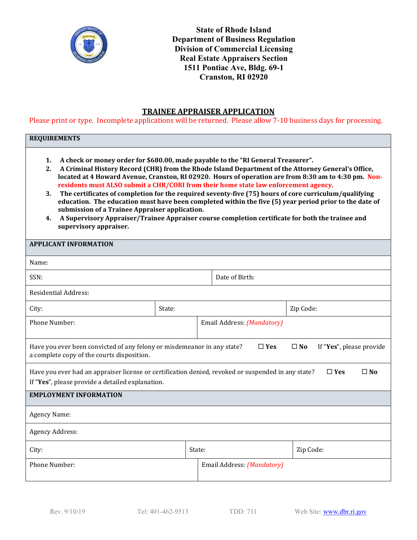

**State of Rhode Island Department of Business Regulation Division of Commercial Licensing Real Estate Appraisers Section 1511 Pontiac Ave, Bldg. 69-1 Cranston, RI 02920**

# **TRAINEE APPRAISER APPLICATION**

Please print or type. Incomplete applications will be returned. Please allow 7-10 business days for processing.

## **REQUIREMENTS**

- **1. A check or money order for \$680.00, made payable to the "RI General Treasurer".**
- **2. A Criminal History Record (CHR) from the Rhode Island Department of the Attorney General's Office, located at 4 Howard Avenue, Cranston, RI 02920. Hours of operation are from 8:30 am to 4:30 pm. Nonresidents must ALSO submit a CHR/CORI from their home state law enforcement agency.**
- **3. The certificates of completion for the required seventy-five (75) hours of core curriculum/qualifying education. The education must have been completed within the five (5) year period prior to the date of submission of a Trainee Appraiser application.**
- **4. A Supervisory Appraiser/Trainee Appraiser course completion certificate for both the trainee and supervisory appraiser.**

| <b>APPLICANT INFORMATION</b>                                                                                                                                                         |        |  |                            |           |  |  |  |
|--------------------------------------------------------------------------------------------------------------------------------------------------------------------------------------|--------|--|----------------------------|-----------|--|--|--|
| Name:                                                                                                                                                                                |        |  |                            |           |  |  |  |
| SSN:                                                                                                                                                                                 |        |  | Date of Birth:             |           |  |  |  |
| <b>Residential Address:</b>                                                                                                                                                          |        |  |                            |           |  |  |  |
| City:                                                                                                                                                                                | State: |  |                            | Zip Code: |  |  |  |
| <b>Phone Number:</b>                                                                                                                                                                 |        |  | Email Address: (Mandatory) |           |  |  |  |
| Have you ever been convicted of any felony or misdemeanor in any state?<br>$\Box$ Yes<br>$\square$ No<br>If "Yes", please provide<br>a complete copy of the courts disposition.      |        |  |                            |           |  |  |  |
| Have you ever had an appraiser license or certification denied, revoked or suspended in any state?<br>$\Box$ Yes<br>$\square$ No<br>If "Yes", please provide a detailed explanation. |        |  |                            |           |  |  |  |
| <b>EMPLOYMENT INFORMATION</b>                                                                                                                                                        |        |  |                            |           |  |  |  |
| <b>Agency Name:</b>                                                                                                                                                                  |        |  |                            |           |  |  |  |
| <b>Agency Address:</b>                                                                                                                                                               |        |  |                            |           |  |  |  |
| City:                                                                                                                                                                                | State: |  |                            | Zip Code: |  |  |  |
| Phone Number:                                                                                                                                                                        |        |  | Email Address: (Mandatory) |           |  |  |  |